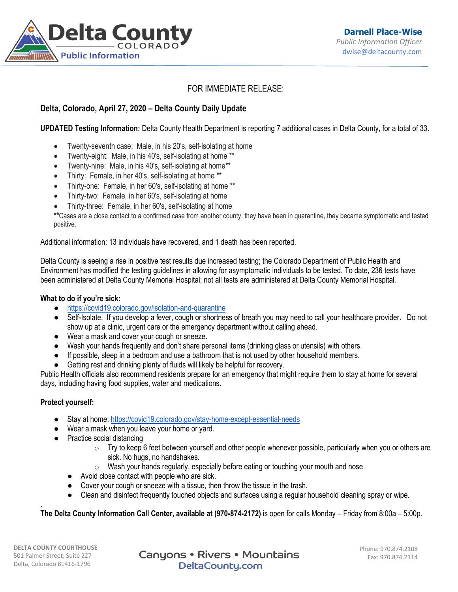

# FOR IMMEDIATE RELEASE:

## **Delta, Colorado, April 27, 2020 – Delta County Daily Update**

**UPDATED Testing Information:** Delta County Health Department is reporting 7 additional cases in Delta County, for a total of 33.

- Twenty-seventh case: Male, in his 20's, self-isolating at home
- Twenty-eight: Male, in his 40's, self-isolating at home \*\*
- Twenty-nine: Male, in his 40's, self-isolating at home\*\*
- Thirty: Female, in her 40's, self-isolating at home \*\*
- Thirty-one: Female, in her 60's, self-isolating at home \*\*
- Thirty-two: Female, in her 60's, self-isolating at home
- Thirty-three: Female, in her 60's, self-isolating at home

**\*\***Cases are a close contact to a confirmed case from another county, they have been in quarantine, they became symptomatic and tested positive.

Additional information: 13 individuals have recovered, and 1 death has been reported.

Delta County is seeing a rise in positive test results due increased testing; the Colorado Department of Public Health and Environment has modified the testing guidelines in allowing for asymptomatic individuals to be tested. To date, 236 tests have been administered at Delta County Memorial Hospital; not all tests are administered at Delta County Memorial Hospital.

#### **What to do if you're sick:**

- <https://covid19.colorado.gov/isolation-and-quarantine>
- Self-Isolate. If you develop a fever, cough or shortness of breath you may need to call your healthcare provider. Do not show up at a clinic, urgent care or the emergency department without calling ahead.
- Wear a mask and cover your cough or sneeze.
- Wash your hands frequently and don't share personal items (drinking glass or utensils) with others.
- If possible, sleep in a bedroom and use a bathroom that is not used by other household members.
- Getting rest and drinking plenty of fluids will likely be helpful for recovery.

Public Health officials also recommend residents prepare for an emergency that might require them to stay at home for several days, including having food supplies, water and medications.

#### **Protect yourself:**

- Stay at home: <https://covid19.colorado.gov/stay-home-except-essential-needs>
- Wear a mask when you leave your home or yard.
- Practice social distancing
	- $\circ$  Try to keep 6 feet between yourself and other people whenever possible, particularly when you or others are sick. No hugs, no handshakes.
	- $\circ$  Wash your hands regularly, especially before eating or touching your mouth and nose.
	- Avoid close contact with people who are sick.
	- Cover your cough or sneeze with a tissue, then throw the tissue in the trash.
	- Clean and disinfect frequently touched objects and surfaces using a regular household cleaning spray or wipe.

**The Delta County Information Call Center, available at (970-874-2172)** is open for calls Monday – Friday from 8:00a – 5:00p.

.